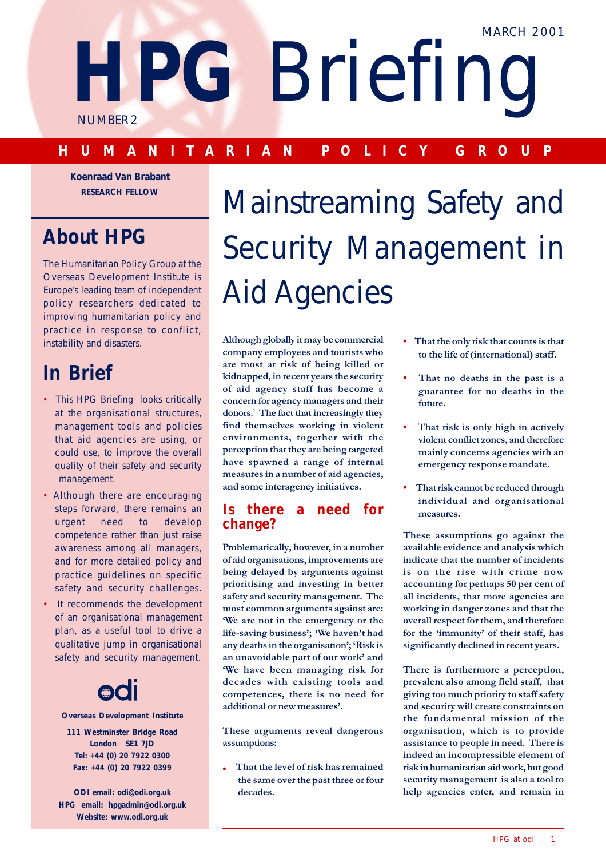**HPG** Briefing

NUMBER 2

# **HUMANITARIAN POLICY GROUP**

**Koenraad Van Brabant RESEARCH FELLOW**

# **About HPG**

The Humanitarian Policy Group at the Overseas Development Institute is Europe's leading team of independent policy researchers dedicated to improving humanitarian policy and practice in response to conflict, instability and disasters.

# **In Brief**

- This HPG Briefing looks critically at the organisational structures, management tools and policies that aid agencies are using, or could use, to improve the overall quality of their safety and security management.
- Although there are encouraging steps forward, there remains an urgent need to develop competence rather than just raise awareness among all managers, and for more detailed policy and practice guidelines on specific safety and security challenges.
- It recommends the development of an organisational management plan, as a useful tool to drive a qualitative jump in organisational safety and security management.



**Overseas Development Institute**

- **111 Westminster Bridge Road London SE1 7JD Tel: +44 (0) 20 7922 0300 Fax: +44 (0) 20 7922 0399**
- **ODI email: odi@odi.org.uk HPG email: hpgadmin@odi.org.uk Website: www.odi.org.uk**

# Mainstreaming Safety and Security Management in Aid Agencies

Although globally it may be commercial company employees and tourists who are most at risk of being killed or kidnapped, in recent years the security of aid agency staff has become a concern for agency managers and their donors.<sup>1</sup> The fact that increasingly they find themselves working in violent environments, together with the perception that they are being targeted have spawned a range of internal measures in a number of aid agencies, and some interagency initiatives.

# **Is there a need for change?**

Problematically, however, in a number of aid organisations, improvements are being delayed by arguments against prioritising and investing in better safety and security management. The most common arguments against are: We are not in the emergency or the life-saving business'; 'We haven't had any deaths in the organisation'; 'Risk is an unavoidable part of our work' and 'We have been managing risk for decades with existing tools and competences, there is no need for additional or new measures'.

These arguments reveal dangerous assumptions:

That the level of risk has remained the same over the past three or four decades.

- That the only risk that counts is that to the life of (international) staff.
- That no deaths in the past is a guarantee for no deaths in the future.
- That risk is only high in actively violent conflict zones, and therefore mainly concerns agencies with an emergency response mandate.
- That risk cannot be reduced through individual and organisational measures.

These assumptions go against the available evidence and analysis which indicate that the number of incidents is on the rise with crime now accounting for perhaps 50 per cent of all incidents, that more agencies are working in danger zones and that the overall respect for them, and therefore for the 'immunity' of their staff, has significantly declined in recent years.

There is furthermore a perception, prevalent also among field staff, that giving too much priority to staff safety and security will create constraints on the fundamental mission of the organisation, which is to provide assistance to people in need. There is indeed an incompressible element of risk in humanitarian aid work<mark>,</mark> but good security management is also a tool to help agencies enter, and remain in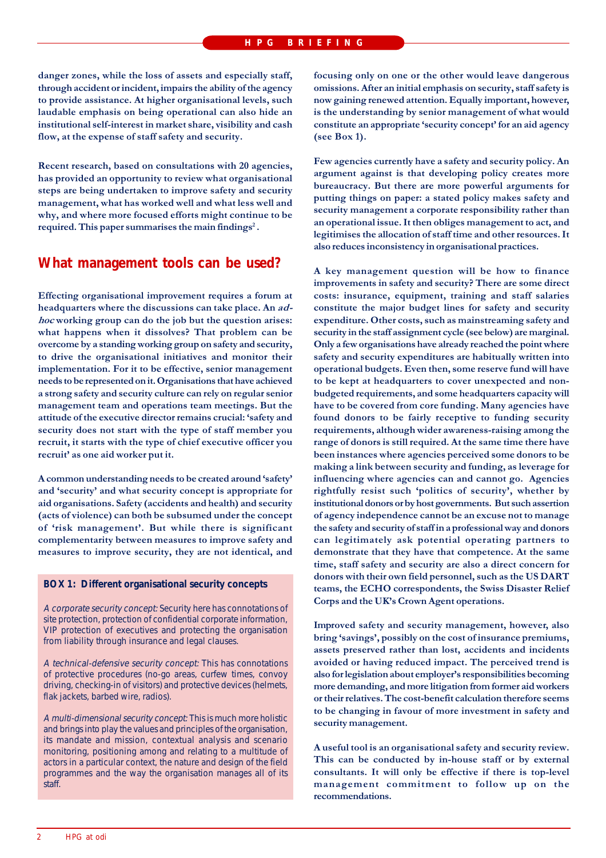danger zones, while the loss of assets and especially staff, through accident or incident, impairs the ability of the agency to provide assistance. At higher organisational levels, such laudable emphasis on being operational can also hide an institutional self-interest in market share, visibility and cash flow, at the expense of staff safety and security.

Recent research, based on consultations with 20 agencies, has provided an opportunity to review what organisational steps are being undertaken to improve safety and security management, what has worked well and what less well and why, and where more focused efforts might continue to be required. This paper summarises the main findings<sup>2</sup>.

# What management tools can be used?

Effecting organisational improvement requires a forum at headquarters where the discussions can take place. An ad*hoc* working group can do the job but the question arises: what happens when it dissolves? That problem can be overcome by a standing working group on safety and security, to drive the organisational initiatives and monitor their implementation. For it to be effective, senior management needs to be represented on it. Organisations that have achieved a strong safety and security culture can rely on regular senior management team and operations team meetings. But the attitude of the executive director remains crucial: 'safety and security does not start with the type of staff member you recruit, it starts with the type of chief executive officer you recruit' as one aid worker put it.

A common understanding needs to be created around 'safety' and 'security' and what security concept is appropriate for aid organisations. Safety (accidents and health) and security (acts of violence) can both be subsumed under the concept of 'risk management'. But while there is significant complementarity between measures to improve safety and measures to improve security, they are not identical, and

#### **BOX 1: Different organisational security concepts**

A corporate security concept: Security here has connotations of site protection, protection of confidential corporate information, VIP protection of executives and protecting the organisation from liability through insurance and legal clauses.

A technical-defensive security concept: This has connotations of protective procedures (no-go areas, curfew times, convoy driving, checking-in of visitors) and protective devices (helmets, flak jackets, barbed wire, radios).

A multi-dimensional security concept: This is much more holistic and brings into play the values and principles of the organisation, its mandate and mission, contextual analysis and scenario monitoring, positioning among and relating to a multitude of actors in a particular context, the nature and design of the field programmes and the way the organisation manages all of its staff

focusing only on one or the other would leave dangerous omissions. After an initial emphasis on security, staff safety is now gaining renewed attention. Equally important, however, is the understanding by senior management of what would constitute an appropriate 'security concept' for an aid agency (see Box 1).

Few agencies currently have a safety and security policy. An argument against is that developing policy creates more bureaucracy. But there are more powerful arguments for putting things on paper: a stated policy makes safety and security management a corporate responsibility rather than an operational issue. It then obliges management to act, and legitimises the allocation of staff time and other resources. It also reduces inconsistency in organisational practices.

A key management question will be how to finance improvements in safety and security? There are some direct costs: insurance, equipment, training and staff salaries constitute the major budget lines for safety and security expenditure. Other costs, such as mainstreaming safety and security in the staff assignment cycle (see below) are marginal. Only a few organisations have already reached the point where safety and security expenditures are habitually written into operational budgets. Even then, some reserve fund will have to be kept at headquarters to cover unexpected and nonbudgeted requirements, and some headquarters capacity will have to be covered from core funding. Many agencies have found donors to be fairly receptive to funding security requirements, although wider awareness-raising among the range of donors is still required. At the same time there have been instances where agencies perceived some donors to be making a link between security and funding, as leverage for influencing where agencies can and cannot go. Agencies rightfully resist such 'politics of security', whether by institutional donors or by host governments. But such assertion of agency independence cannot be an excuse not to manage the safety and security of staff in a professional way and donors can legitimately ask potential operating partners to demonstrate that they have that competence. At the same time, staff safety and security are also a direct concern for donors with their own field personnel, such as the US DART teams, the ECHO correspondents, the Swiss Disaster Relief Corps and the UK's Crown Agent operations.

Improved safety and security management, however, also bring 'savings', possibly on the cost of insurance premiums, assets preserved rather than lost, accidents and incidents avoided or having reduced impact. The perceived trend is also for legislation about employer's responsibilities becoming more demanding, and more litigation from former aid workers or their relatives. The cost-benefit calculation therefore seems to be changing in favour of more investment in safety and security management.

A useful tool is an organisational safety and security review. This can be conducted by in-house staff or by external consultants. It will only be effective if there is top-level management commitment to follow up on the recommendations.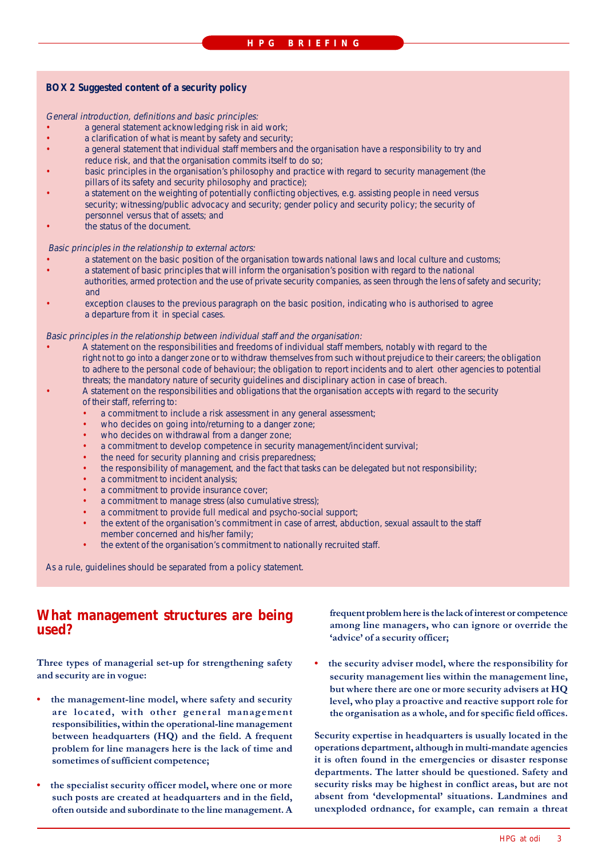#### **BOX 2 Suggested content of a security policy**

General introduction, definitions and basic principles:

- a general statement acknowledging risk in aid work;
- a clarification of what is meant by safety and security;
- a general statement that individual staff members and the organisation have a responsibility to try and reduce risk, and that the organisation commits itself to do so;
- basic principles in the organisation's philosophy and practice with regard to security management (the pillars of its safety and security philosophy and practice);
- a statement on the weighting of potentially conflicting objectives, e.g. assisting people in need versus security; witnessing/public advocacy and security; gender policy and security policy; the security of personnel versus that of assets; and
- the status of the document.

#### Basic principles in the relationship to external actors:

- a statement on the basic position of the organisation towards national laws and local culture and customs; • a statement of basic principles that will inform the organisation's position with regard to the national authorities, armed protection and the use of private security companies, as seen through the lens of safety and security; and
- exception clauses to the previous paragraph on the basic position, indicating who is authorised to agree a departure from it in special cases.

#### Basic principles in the relationship between individual staff and the organisation:

- A statement on the responsibilities and freedoms of individual staff members, notably with regard to the right not to go into a danger zone or to withdraw themselves from such without prejudice to their careers; the obligation to adhere to the personal code of behaviour; the obligation to report incidents and to alert other agencies to potential threats; the mandatory nature of security guidelines and disciplinary action in case of breach.
- A statement on the responsibilities and obligations that the organisation accepts with regard to the security of their staff, referring to:
	- a commitment to include a risk assessment in any general assessment;
	- who decides on going into/returning to a danger zone;
	- who decides on withdrawal from a danger zone;
	- a commitment to develop competence in security management/incident survival;
	- the need for security planning and crisis preparedness;
	- the responsibility of management, and the fact that tasks can be delegated but not responsibility;
	- a commitment to incident analysis;
	- a commitment to provide insurance cover;
	- a commitment to manage stress (also cumulative stress);
	- a commitment to provide full medical and psycho-social support;
	- the extent of the organisation's commitment in case of arrest, abduction, sexual assault to the staff member concerned and his/her family;
	- the extent of the organisation's commitment to nationally recruited staff.

As a rule, guidelines should be separated from a policy statement.

# **What management structures are being used?**

Three types of managerial set-up for strengthening safety and security are in vogue:

- the management-line model, where safety and security are located, with other general management responsibilities, within the operational-line management between headquarters (HQ) and the field. A frequent problem for line managers here is the lack of time and sometimes of sufficient competence;
- the specialist security officer model, where one or more such posts are created at headquarters and in the field, often outside and subordinate to the line management. A

frequent problem here is the lack of interest or competence among line managers, who can ignore or override the 'advice' of a security officer;

• the security adviser model, where the responsibility for security management lies within the management line, but where there are one or more security advisers at  ${\rm HQ}$ level, who play a proactive and reactive support role for the organisation as a whole, and for specific field offices.

Security expertise in headquarters is usually located in the operations department, although in multi-mandate agencies it is often found in the emergencies or disaster response departments. The latter should be questioned. Safety and security risks may be highest in conflict areas, but are not absent from 'developmental' situations. Landmines and unexploded ordnance, for example, can remain a threat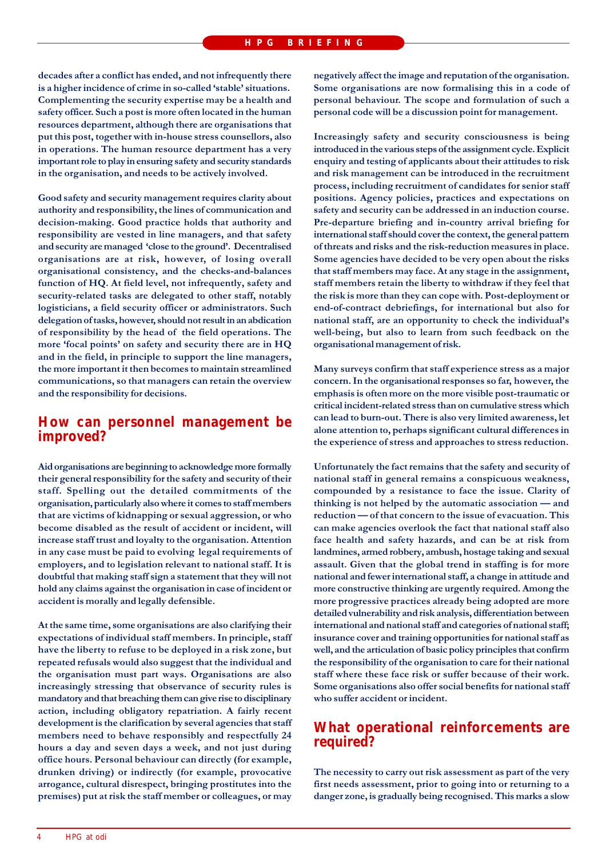decades after a conflict has ended, and not infrequently there is a higher incidence of crime in so-called 'stable' situations. Complementing the security expertise may be a health and safety officer. Such a post is more often located in the human resources department, although there are organisations that put this post, together with in-house stress counsellors, also in operations. The human resource department has a very important role to play in ensuring safety and security standards in the organisation, and needs to be actively involved.

Good safety and security management requires clarity about authority and responsibility, the lines of communication and decision-making. Good practice holds that authority and responsibility are vested in line managers, and that safety and security are managed 'close to the ground'. Decentralised organisations are at risk, however, of losing overall organisational consistency, and the checks-and-balances function of HQ. At field level, not infrequently, safety and security-related tasks are delegated to other staff, notably logisticians, a field security officer or administrators. Such delegation of tasks, however, should not result in an abdication of responsibility by the head of the field operations. The more 'focal points' on safety and security there are in HQ and in the field, in principle to support the line managers, the more important it then becomes to maintain streamlined communications, so that managers can retain the overview and the responsibility for decisions.

# How can personnel management be improved?

Aid organisations are beginning to acknowledge more formally their general responsibility for the safety and security of their staff. Spelling out the detailed commitments of the organisation, particularly also where it comes to staff members that are victims of kidnapping or sexual aggression, or who become disabled as the result of accident or incident, will increase staff trust and loyalty to the organisation. Attention in any case must be paid to evolving legal requirements of employers, and to legislation relevant to national staff. It is doubtful that making staff sign a statement that they will not hold any claims against the organisation in case of incident or accident is morally and legally defensible.

At the same time, some organisations are also clarifying their expectations of individual staff members. In principle, staff have the liberty to refuse to be deployed in a risk zone, but repeated refusals would also suggest that the individual and the organisation must part ways. Organisations are also increasingly stressing that observance of security rules is mandatory and that breaching them can give rise to disciplinary action, including obligatory repatriation. A fairly recent development is the clarification by several agencies that staff members need to behave responsibly and respectfully 24 hours a day and seven days a week, and not just during office hours. Personal behaviour can directly (for example, drunken driving) or indirectly (for example, provocative arrogance, cultural disrespect, bringing prostitutes into the premises) put at risk the staff member or colleagues, or may negatively affect the image and reputation of the organisation. Some organisations are now formalising this in a code of personal behaviour. The scope and formulation of such a personal code will be a discussion point for management.

Increasingly safety and security consciousness is being introduced in the various steps of the assignment cycle. Explicit enquiry and testing of applicants about their attitudes to risk and risk management can be introduced in the recruitment process, including recruitment of candidates for senior staff positions. Agency policies, practices and expectations on safety and security can be addressed in an induction course. Pre-departure briefing and in-country arrival briefing for international staff should cover the context, the general pattern of threats and risks and the risk-reduction measures in place. Some agencies have decided to be very open about the risks that staff members may face. At any stage in the assignment, staff members retain the liberty to withdraw if they feel that the risk is more than they can cope with. Post-deployment or end-of-contract debriefings, for international but also for national staff, are an opportunity to check the individual's well-being, but also to learn from such feedback on the organisational management of risk.

Many surveys confirm that staff experience stress as a major concern. In the organisational responses so far, however, the emphasis is often more on the more visible post-traumatic or critical incident-related stress than on cumulative stress which can lead to burn-out. There is also very limited awareness, let alone attention to, perhaps significant cultural differences in the experience of stress and approaches to stress reduction.

Unfortunately the fact remains that the safety and security of national staff in general remains a conspicuous weakness, compounded by a resistance to face the issue. Clarity of thinking is not helped by the automatic association — and reduction - of that concern to the issue of evacuation. This can make agencies overlook the fact that national staff also face health and safety hazards, and can be at risk from landmines, armed robbery, ambush, hostage taking and sexual assault. Given that the global trend in staffing is for more national and fewer international staff, a change in attitude and more constructive thinking are urgently required. Among the more progressive practices already being adopted are more detailed vulnerability and risk analysis, differentiation between international and national staff and categories of national staff; insurance cover and training opportunities for national staff as well, and the articulation of basic policy principles that confirm the responsibility of the organisation to care for their national staff where these face risk or suffer because of their work. Some organisations also offer social benefits for national staff who suffer accident or incident.

# What operational reinforcements are required?

The necessity to carry out risk assessment as part of the very first needs assessment, prior to going into or returning to a danger zone, is gradually being recognised. This marks a slow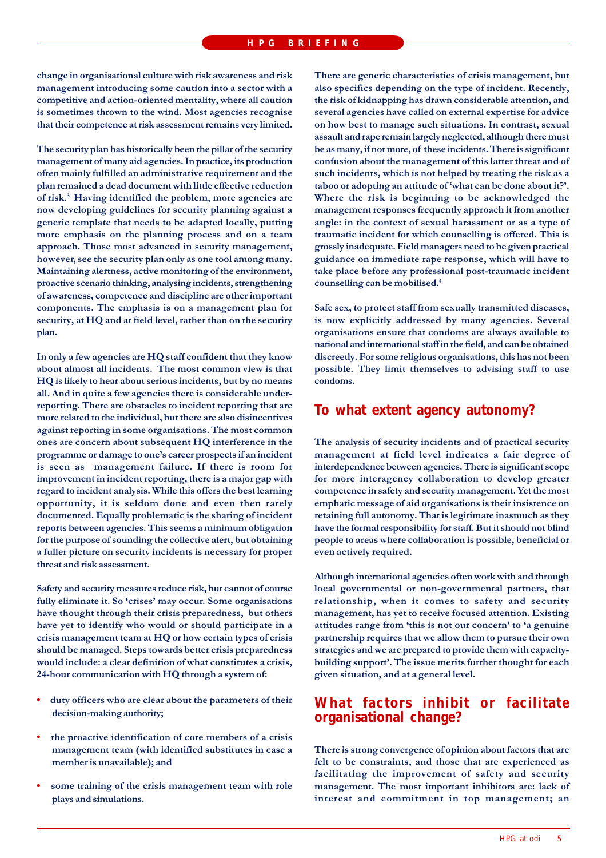change in organisational culture with risk awareness and risk management introducing some caution into a sector with a competitive and action-oriented mentality, where all caution is sometimes thrown to the wind. Most agencies recognise that their competence at risk assessment remains very limited.

The security plan has historically been the pillar of the security management of many aid agencies. In practice, its production often mainly fulfilled an administrative requirement and the plan remained a dead document with little effective reduction of risk.<sup>3</sup> Having identified the problem, more agencies are now developing guidelines for security planning against a generic template that needs to be adapted locally, putting more emphasis on the planning process and on a team approach. Those most advanced in security management, however, see the security plan only as one tool among many. Maintaining alertness, active monitoring of the environment, proactive scenario thinking, analysing incidents, strengthening of awareness, competence and discipline are other important components. The emphasis is on a management plan for security, at HQ and at field level, rather than on the security plan.

In only a few agencies are HQ staff confident that they know about almost all incidents. The most common view is that HQ is likely to hear about serious incidents, but by no means all. And in quite a few agencies there is considerable underreporting. There are obstacles to incident reporting that are more related to the individual, but there are also disincentives against reporting in some organisations. The most common ones are concern about subsequent HQ interference in the programme or damage to one's career prospects if an incident is seen as management failure. If there is room for improvement in incident reporting, there is a major gap with regard to incident analysis. While this offers the best learning opportunity, it is seldom done and even then rarely documented. Equally problematic is the sharing of incident reports between agencies. This seems a minimum obligation for the purpose of sounding the collective alert, but obtaining a fuller picture on security incidents is necessary for proper threat and risk assessment.

Safety and security measures reduce risk, but cannot of course fully eliminate it. So 'crises' may occur. Some organisations have thought through their crisis preparedness, but others have yet to identify who would or should participate in a crisis management team at HQ or how certain types of crisis should be managed. Steps towards better crisis preparedness would include: a clear definition of what constitutes a crisis, 24-hour communication with HQ through a system of:

- duty officers who are clear about the parameters of their decision-making authority;
- the proactive identification of core members of a crisis management team (with identified substitutes in case a member is unavailable); and
- some training of the crisis management team with role plays and simulations.

There are generic characteristics of crisis management, but also specifics depending on the type of incident. Recently, the risk of kidnapping has drawn considerable attention, and several agencies have called on external expertise for advice on how best to manage such situations. In contrast, sexual assault and rape remain largely neglected, although there must be as many, if not more, of these incidents. There is significant confusion about the management of this latter threat and of such incidents, which is not helped by treating the risk as a taboo or adopting an attitude of 'what can be done about it?'. Where the risk is beginning to be acknowledged the management responses frequently approach it from another angle: in the context of sexual harassment or as a type of traumatic incident for which counselling is offered. This is grossly inadequate. Field managers need to be given practical guidance on immediate rape response, which will have to take place before any professional post-traumatic incident counselling can be mobilised.<sup>4</sup>

Safe sex, to protect staff from sexually transmitted diseases, is now explicitly addressed by many agencies. Several organisations ensure that condoms are always available to national and international staff in the field, and can be obtained discreetly. For some religious organisations, this has not been possible. They limit themselves to advising staff to use condoms.

# To what extent agency autonomy?

The analysis of security incidents and of practical security management at field level indicates a fair degree of interdependence between agencies. There is significant scope for more interagency collaboration to develop greater competence in safety and security management. Yet the most emphatic message of aid organisations is their insistence on retaining full autonomy. That is legitimate inasmuch as they have the formal responsibility for staff. But it should not blind people to areas where collaboration is possible, beneficial or even actively required.

Although international agencies often work with and through local governmental or non-governmental partners, that relationship, when it comes to safety and security management, has yet to receive focused attention. Existing attitudes range from 'this is not our concern' to 'a genuine partnership requires that we allow them to pursue their own strategies and we are prepared to provide them with capacitybuilding support'. The issue merits further thought for each given situation, and at a general level.

# What factors inhibit or facilitate organisational change?

There is strong convergence of opinion about factors that are felt to be constraints, and those that are experienced as facilitating the improvement of safety and security management. The most important inhibitors are: lack of interest and commitment in top management; an